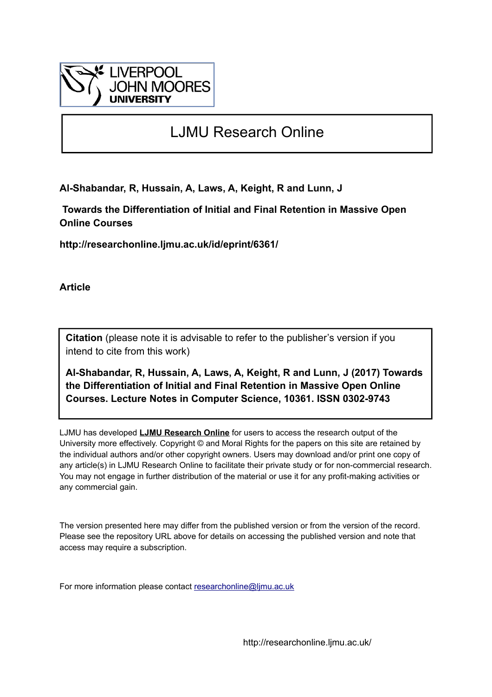

# LJMU Research Online

**Al-Shabandar, R, Hussain, A, Laws, A, Keight, R and Lunn, J**

 **Towards the Differentiation of Initial and Final Retention in Massive Open Online Courses**

**http://researchonline.ljmu.ac.uk/id/eprint/6361/**

**Article**

**Citation** (please note it is advisable to refer to the publisher's version if you intend to cite from this work)

**Al-Shabandar, R, Hussain, A, Laws, A, Keight, R and Lunn, J (2017) Towards the Differentiation of Initial and Final Retention in Massive Open Online Courses. Lecture Notes in Computer Science, 10361. ISSN 0302-9743** 

LJMU has developed **[LJMU Research Online](http://researchonline.ljmu.ac.uk/)** for users to access the research output of the University more effectively. Copyright © and Moral Rights for the papers on this site are retained by the individual authors and/or other copyright owners. Users may download and/or print one copy of any article(s) in LJMU Research Online to facilitate their private study or for non-commercial research. You may not engage in further distribution of the material or use it for any profit-making activities or any commercial gain.

The version presented here may differ from the published version or from the version of the record. Please see the repository URL above for details on accessing the published version and note that access may require a subscription.

For more information please contact [researchonline@ljmu.ac.uk](mailto:researchonline@ljmu.ac.uk)

http://researchonline.ljmu.ac.uk/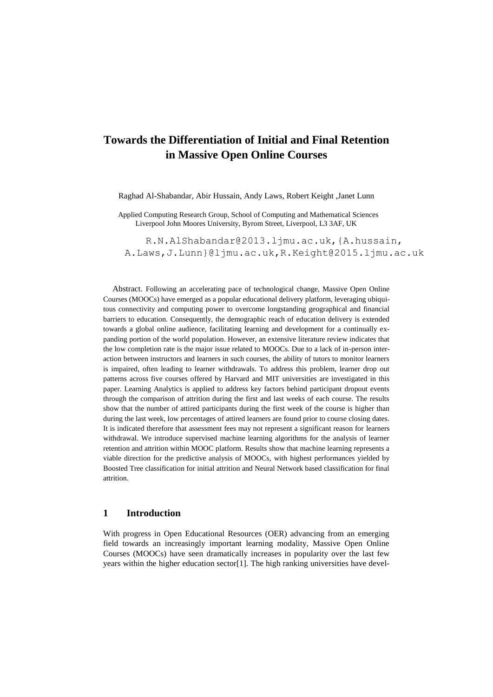# **Towards the Differentiation of Initial and Final Retention in Massive Open Online Courses**

Raghad Al-Shabandar, Abir Hussain, Andy Laws, Robert Keight ,Janet Lunn

Applied Computing Research Group, School of Computing and Mathematical Sciences Liverpool John Moores University, Byrom Street, Liverpool, L3 3AF, UK

[R.N.AlShabandar@2013.ljmu.ac.uk,{A.hussain,](mailto:R.N.AlShabandar@2013.ljmu.ac.uk,%7bA.hussain) A.Laws[,J.Lunn}@ljmu.ac.uk,](mailto:J.Lunn%7d@ljmu.ac.uk)[R.Keight@2015.ljmu.ac.uk](mailto:R.Keight@2015.ljmu.ac.uk)

Abstract. Following an accelerating pace of technological change, Massive Open Online Courses (MOOCs) have emerged as a popular educational delivery platform, leveraging ubiquitous connectivity and computing power to overcome longstanding geographical and financial barriers to education. Consequently, the demographic reach of education delivery is extended towards a global online audience, facilitating learning and development for a continually expanding portion of the world population. However, an extensive literature review indicates that the low completion rate is the major issue related to MOOCs. Due to a lack of in-person interaction between instructors and learners in such courses, the ability of tutors to monitor learners is impaired, often leading to learner withdrawals. To address this problem, learner drop out patterns across five courses offered by Harvard and MIT universities are investigated in this paper. Learning Analytics is applied to address key factors behind participant dropout events through the comparison of attrition during the first and last weeks of each course. The results show that the number of attired participants during the first week of the course is higher than during the last week, low percentages of attired learners are found prior to course closing dates. It is indicated therefore that assessment fees may not represent a significant reason for learners withdrawal. We introduce supervised machine learning algorithms for the analysis of learner retention and attrition within MOOC platform. Results show that machine learning represents a viable direction for the predictive analysis of MOOCs, with highest performances yielded by Boosted Tree classification for initial attrition and Neural Network based classification for final attrition.

### **1 Introduction**

With progress in Open Educational Resources (OER) advancing from an emerging field towards an increasingly important learning modality, Massive Open Online Courses (MOOCs) have seen dramatically increases in popularity over the last few years within the higher education sector[1]. The high ranking universities have devel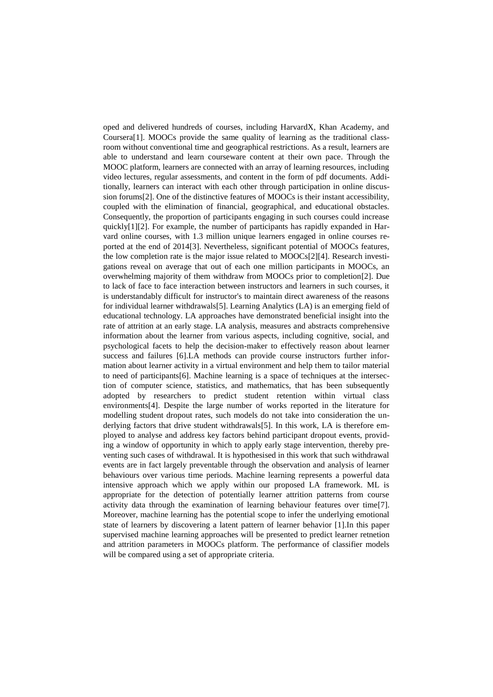oped and delivered hundreds of courses, including HarvardX, Khan Academy, and Coursera[1]. MOOCs provide the same quality of learning as the traditional classroom without conventional time and geographical restrictions. As a result, learners are able to understand and learn courseware content at their own pace. Through the MOOC platform, learners are connected with an array of learning resources, including video lectures, regular assessments, and content in the form of pdf documents. Additionally, learners can interact with each other through participation in online discussion forums[2]. One of the distinctive features of MOOCs is their instant accessibility, coupled with the elimination of financial, geographical, and educational obstacles. Consequently, the proportion of participants engaging in such courses could increase quickly[1][2]. For example, the number of participants has rapidly expanded in Harvard online courses, with 1.3 million unique learners engaged in online courses reported at the end of 2014[3]. Nevertheless, significant potential of MOOCs features, the low completion rate is the major issue related to MOOCs[2][4]. Research investigations reveal on average that out of each one million participants in MOOCs, an overwhelming majority of them withdraw from MOOCs prior to completion[2]. Due to lack of face to face interaction between instructors and learners in such courses, it is understandably difficult for instructor's to maintain direct awareness of the reasons for individual learner withdrawals[5]. Learning Analytics (LA) is an emerging field of educational technology. LA approaches have demonstrated beneficial insight into the rate of attrition at an early stage. LA analysis, measures and abstracts comprehensive information about the learner from various aspects, including cognitive, social, and psychological facets to help the decision-maker to effectively reason about learner success and failures [6].LA methods can provide course instructors further information about learner activity in a virtual environment and help them to tailor material to need of participants[6]. Machine learning is a space of techniques at the intersection of computer science, statistics, and mathematics, that has been subsequently adopted by researchers to predict student retention within virtual class environments[4]. Despite the large number of works reported in the literature for modelling student dropout rates, such models do not take into consideration the underlying factors that drive student withdrawals[5]. In this work, LA is therefore employed to analyse and address key factors behind participant dropout events, providing a window of opportunity in which to apply early stage intervention, thereby preventing such cases of withdrawal. It is hypothesised in this work that such withdrawal events are in fact largely preventable through the observation and analysis of learner behaviours over various time periods. Machine learning represents a powerful data intensive approach which we apply within our proposed LA framework. ML is appropriate for the detection of potentially learner attrition patterns from course activity data through the examination of learning behaviour features over time[7]. Moreover, machine learning has the potential scope to infer the underlying emotional state of learners by discovering a latent pattern of learner behavior [1].In this paper supervised machine learning approaches will be presented to predict learner retnetion and attrition parameters in MOOCs platform. The performance of classifier models will be compared using a set of appropriate criteria.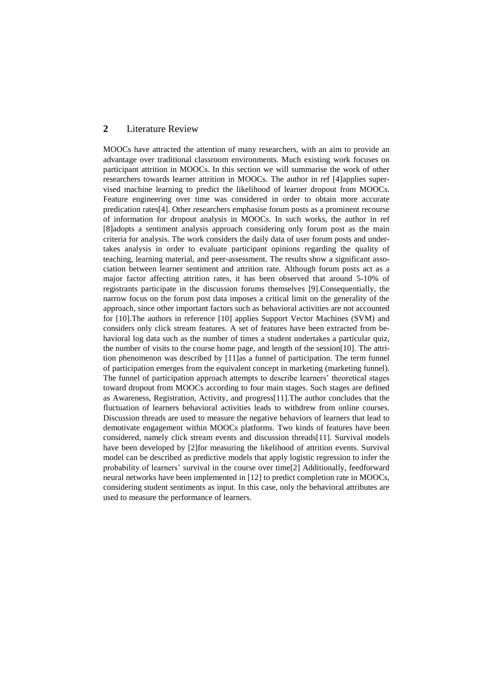# **2** Literature Review

MOOCs have attracted the attention of many researchers, with an aim to provide an advantage over traditional classroom environments. Much existing work focuses on participant attrition in MOOCs. In this section we will summarise the work of other researchers towards learner attrition in MOOCs. The author in ref [4]applies supervised machine learning to predict the likelihood of learner dropout from MOOCs. Feature engineering over time was considered in order to obtain more accurate predication rates[4]. Other researchers emphasise forum posts as a prominent recourse of information for dropout analysis in MOOCs. In such works, the author in ref [8]adopts a sentiment analysis approach considering only forum post as the main criteria for analysis. The work considers the daily data of user forum posts and undertakes analysis in order to evaluate participant opinions regarding the quality of teaching, learning material, and peer-assessment. The results show a significant association between learner sentiment and attrition rate. Although forum posts act as a major factor affecting attrition rates, it has been observed that around 5-10% of registrants participate in the discussion forums themselves [9].Consequentially, the narrow focus on the forum post data imposes a critical limit on the generality of the approach, since other important factors such as behavioral activities are not accounted for [10].The authors in reference [10] applies Support Vector Machines (SVM) and considers only click stream features. A set of features have been extracted from behavioral log data such as the number of times a student undertakes a particular quiz, the number of visits to the course home page, and length of the session[10]. The attrition phenomenon was described by [11]as a funnel of participation. The term funnel of participation emerges from the equivalent concept in marketing (marketing funnel). The funnel of participation approach attempts to describe learners' theoretical stages toward dropout from MOOCs according to four main stages. Such stages are defined as Awareness, Registration, Activity, and progress[11].The author concludes that the fluctuation of learners behavioral activities leads to withdrew from online courses. Discussion threads are used to measure the negative behaviors of learners that lead to demotivate engagement within MOOCs platforms. Two kinds of features have been considered, namely click stream events and discussion threads[11]. Survival models have been developed by [2]for measuring the likelihood of attrition events. Survival model can be described as predictive models that apply logistic regression to infer the probability of learners' survival in the course over time[2] Additionally, feedforward neural networks have been implemented in [12] to predict completion rate in MOOCs, considering student sentiments as input. In this case, only the behavioral attributes are used to measure the performance of learners.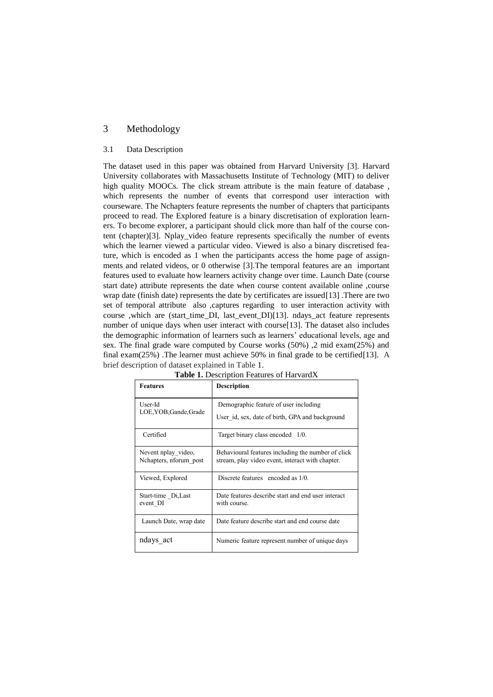# 3 Methodology

#### 3.1 Data Description

The dataset used in this paper was obtained from Harvard University [3]. Harvard University collaborates with Massachusetts Institute of Technology (MIT) to deliver high quality MOOCs. The click stream attribute is the main feature of database, which represents the number of events that correspond user interaction with courseware. The Nchapters feature represents the number of chapters that participants proceed to read. The Explored feature is a binary discretisation of exploration learners. To become explorer, a participant should click more than half of the course content (chapter)[3]. Nplay\_video feature represents specifically the number of events which the learner viewed a particular video. Viewed is also a binary discretised feature, which is encoded as 1 when the participants access the home page of assignments and related videos, or 0 otherwise [3].The temporal features are an important features used to evaluate how learners activity change over time. Launch Date (course start date) attribute represents the date when course content available online ,course wrap date (finish date) represents the date by certificates are issued[13] .There are two set of temporal attribute also ,captures regarding to user interaction activity with course ,which are (start time DI, last event DI)[13]. ndays act feature represents number of unique days when user interact with course<sup>[13]</sup>. The dataset also includes the demographic information of learners such as learners' educational levels, age and sex. The final grade ware computed by Course works (50%) ,2 mid exam(25%) and final exam(25%) .The learner must achieve 50% in final grade to be certified[13]. A brief description of dataset explained in Table 1.

| <b>Features</b>                               | <b>Description</b>                                                                                     |
|-----------------------------------------------|--------------------------------------------------------------------------------------------------------|
| User-Id<br>LOE, YOB, Gande, Grade             | Demographic feature of user including                                                                  |
|                                               | User id, sex, date of birth, GPA and background                                                        |
| Certified                                     | Target binary class encoded 1/0.                                                                       |
| Nevent nplay video,<br>Nchapters, nforum_post | Behavioural features including the number of click<br>stream, play video event, interact with chapter. |
| Viewed, Explored                              | Discrete features encoded as 1/0.                                                                      |
| Start-time Di, Last<br>event DI               | Date features describe start and end user interact<br>with course.                                     |
| Launch Date, wrap date                        | Date feature describe start and end course date                                                        |
| ndays_act                                     | Numeric feature represent number of unique days                                                        |

**Table 1.** Description Features of HarvardX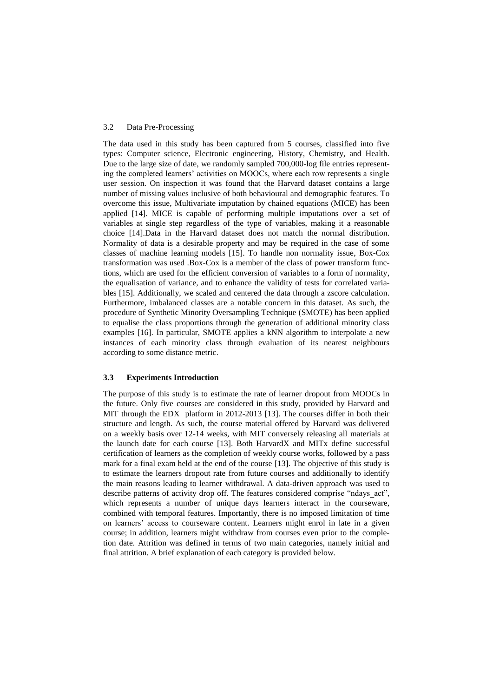#### 3.2 Data Pre-Processing

The data used in this study has been captured from 5 courses, classified into five types: Computer science, Electronic engineering, History, Chemistry, and Health. Due to the large size of date, we randomly sampled 700,000-log file entries representing the completed learners' activities on MOOCs, where each row represents a single user session. On inspection it was found that the Harvard dataset contains a large number of missing values inclusive of both behavioural and demographic features. To overcome this issue, Multivariate imputation by chained equations (MICE) has been applied [14]. MICE is capable of performing multiple imputations over a set of variables at single step regardless of the type of variables, making it a reasonable choice [14].Data in the Harvard dataset does not match the normal distribution. Normality of data is a desirable property and may be required in the case of some classes of machine learning models [15]. To handle non normality issue, Box-Cox transformation was used .Box-Cox is a member of the class of power transform functions, which are used for the efficient conversion of variables to a form of normality, the equalisation of variance, and to enhance the validity of tests for correlated variables [15]. Additionally, we scaled and centered the data through a zscore calculation. Furthermore, imbalanced classes are a notable concern in this dataset. As such, the procedure of Synthetic Minority Oversampling Technique (SMOTE) has been applied to equalise the class proportions through the generation of additional minority class examples [16]. In particular, SMOTE applies a kNN algorithm to interpolate a new instances of each minority class through evaluation of its nearest neighbours according to some distance metric.

#### **3.3 Experiments Introduction**

The purpose of this study is to estimate the rate of learner dropout from MOOCs in the future. Only five courses are considered in this study, provided by Harvard and MIT through the EDX platform in 2012-2013 [13]. The courses differ in both their structure and length. As such, the course material offered by Harvard was delivered on a weekly basis over 12-14 weeks, with MIT conversely releasing all materials at the launch date for each course [13]. Both HarvardX and MITx define successful certification of learners as the completion of weekly course works, followed by a pass mark for a final exam held at the end of the course [13]. The objective of this study is to estimate the learners dropout rate from future courses and additionally to identify the main reasons leading to learner withdrawal. A data-driven approach was used to describe patterns of activity drop off. The features considered comprise "ndays\_act", which represents a number of unique days learners interact in the courseware, combined with temporal features. Importantly, there is no imposed limitation of time on learners' access to courseware content. Learners might enrol in late in a given course; in addition, learners might withdraw from courses even prior to the completion date. Attrition was defined in terms of two main categories, namely initial and final attrition. A brief explanation of each category is provided below.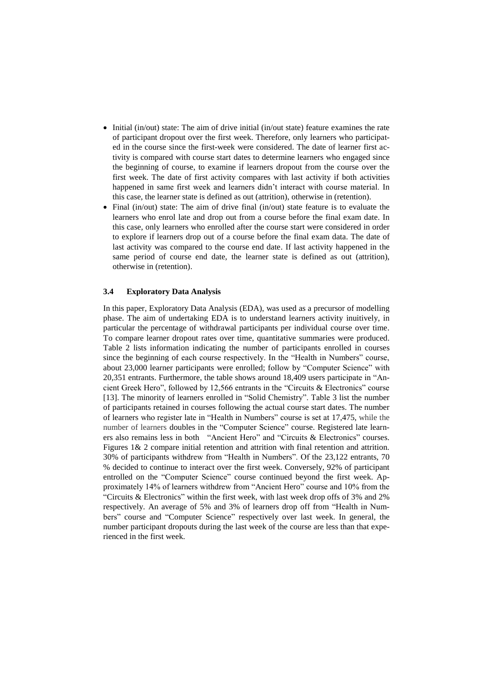- $\bullet$  Initial (in/out) state: The aim of drive initial (in/out state) feature examines the rate of participant dropout over the first week. Therefore, only learners who participated in the course since the first-week were considered. The date of learner first activity is compared with course start dates to determine learners who engaged since the beginning of course, to examine if learners dropout from the course over the first week. The date of first activity compares with last activity if both activities happened in same first week and learners didn't interact with course material. In this case, the learner state is defined as out (attrition), otherwise in (retention).
- Final (in/out) state: The aim of drive final (in/out) state feature is to evaluate the learners who enrol late and drop out from a course before the final exam date. In this case, only learners who enrolled after the course start were considered in order to explore if learners drop out of a course before the final exam data. The date of last activity was compared to the course end date. If last activity happened in the same period of course end date, the learner state is defined as out (attrition), otherwise in (retention).

#### **3.4 Exploratory Data Analysis**

In this paper, Exploratory Data Analysis (EDA), was used as a precursor of modelling phase. The aim of undertaking EDA is to understand learners activity inuitively, in particular the percentage of withdrawal participants per individual course over time. To compare learner dropout rates over time, quantitative summaries were produced. Table 2 lists information indicating the number of participants enrolled in courses since the beginning of each course respectively. In the "Health in Numbers" course, about 23,000 learner participants were enrolled; follow by "Computer Science" with 20,351 entrants. Furthermore, the table shows around 18,409 users participate in "Ancient Greek Hero", followed by 12,566 entrants in the "Circuits & Electronics" course [13]. The minority of learners enrolled in "Solid Chemistry". Table 3 list the number of participants retained in courses following the actual course start dates. The number of learners who register late in "Health in Numbers" course is set at 17,475, while the number of learners doubles in the "Computer Science" course. Registered late learners also remains less in both "Ancient Hero" and "Circuits & Electronics" courses. Figures 1& 2 compare initial retention and attrition with final retention and attrition. 30% of participants withdrew from "Health in Numbers". Of the 23,122 entrants, 70 % decided to continue to interact over the first week. Conversely, 92% of participant entrolled on the "Computer Science" course continued beyond the first week. Approximately 14% of learners withdrew from "Ancient Hero" course and 10% from the "Circuits & Electronics" within the first week, with last week drop offs of 3% and 2% respectively. An average of 5% and 3% of learners drop off from "Health in Numbers" course and "Computer Science" respectively over last week. In general, the number participant dropouts during the last week of the course are less than that experienced in the first week.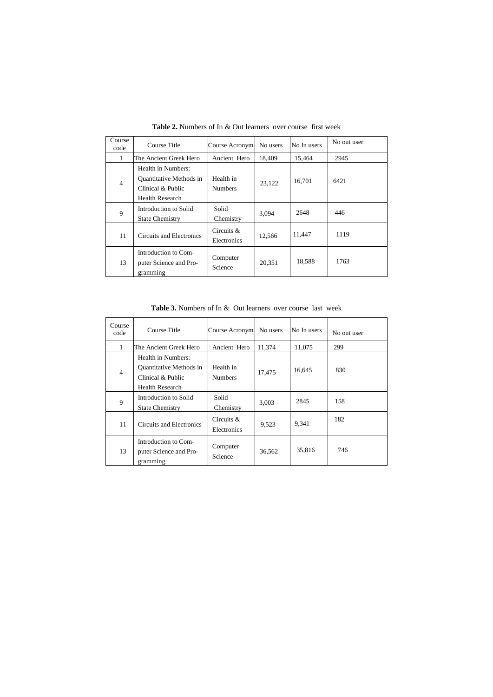| Course<br>code | Course Title                                                                                        | Course Acronym               | No users<br>No In users |        | No out user |
|----------------|-----------------------------------------------------------------------------------------------------|------------------------------|-------------------------|--------|-------------|
| $\mathbf{1}$   | The Ancient Greek Hero                                                                              | Ancient Hero                 | 18.409                  | 15,464 | 2945        |
| $\overline{4}$ | Health in Numbers:<br><b>Quantitative Methods in</b><br>Clinical & Public<br><b>Health Research</b> | Health in<br><b>Numbers</b>  | 23.122                  | 16,701 | 6421        |
| 9              | Introduction to Solid<br><b>State Chemistry</b>                                                     | Solid<br>Chemistry           | 3,094                   | 2648   | 446         |
| 11             | Circuits and Electronics                                                                            | Circuits $\&$<br>Electronics | 12,566                  | 11,447 | 1119        |
| 13             | Introduction to Com-<br>puter Science and Pro-<br>gramming                                          | Computer<br>Science          | 20,351                  | 18,588 | 1763        |

**Table 2.** Numbers of In & Out learners over course first week

**Table 3.** Numbers of In & Out learners over course last week

| Course<br>code | Course Title                                                                                        | Course Acronym              | No users | No In users | No out user |
|----------------|-----------------------------------------------------------------------------------------------------|-----------------------------|----------|-------------|-------------|
| 1              | The Ancient Greek Hero                                                                              | Ancient Hero                | 11,374   | 11,075      | 299         |
| $\overline{4}$ | Health in Numbers:<br><b>Ouantitative Methods in</b><br>Clinical & Public<br><b>Health Research</b> | Health in<br><b>Numbers</b> | 17.475   | 16,645      | 830         |
| 9              | Introduction to Solid<br><b>State Chemistry</b>                                                     | Solid<br>Chemistry          | 3,003    | 2845        | 158         |
| 11             | Circuits and Electronics                                                                            | Circuits $&$<br>Electronics | 9,523    | 9,341       | 182         |
| 13             | Introduction to Com-<br>puter Science and Pro-<br>gramming                                          | Computer<br>Science         | 36,562   | 35,816      | 746         |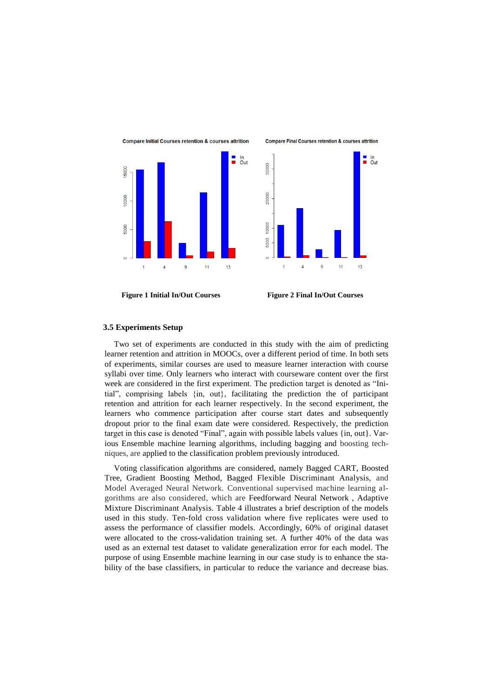



#### **3.5 Experiments Setup**

Two set of experiments are conducted in this study with the aim of predicting learner retention and attrition in MOOCs, over a different period of time. In both sets of experiments, similar courses are used to measure learner interaction with course syllabi over time. Only learners who interact with courseware content over the first week are considered in the first experiment. The prediction target is denoted as "Initial", comprising labels {in, out}, facilitating the prediction the of participant retention and attrition for each learner respectively. In the second experiment, the learners who commence participation after course start dates and subsequently dropout prior to the final exam date were considered. Respectively, the prediction target in this case is denoted "Final", again with possible labels values {in, out}. Various Ensemble machine learning algorithms, including bagging and boosting techniques, are applied to the classification problem previously introduced.

Voting classification algorithms are considered, namely Bagged CART, Boosted Tree, Gradient Boosting Method, Bagged Flexible Discriminant Analysis, and Model Averaged Neural Network. Conventional supervised machine learning algorithms are also considered, which are Feedforward Neural Network , Adaptive Mixture Discriminant Analysis. Table 4 illustrates a brief description of the models used in this study. Ten-fold cross validation where five replicates were used to assess the performance of classifier models. Accordingly, 60% of original dataset were allocated to the cross-validation training set. A further 40% of the data was used as an external test dataset to validate generalization error for each model. The purpose of using Ensemble machine learning in our case study is to enhance the stability of the base classifiers, in particular to reduce the variance and decrease bias.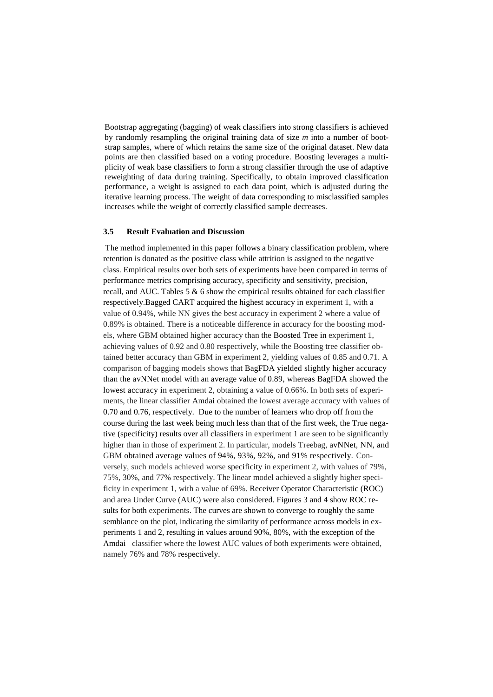Bootstrap aggregating (bagging) of weak classifiers into strong classifiers is achieved by randomly resampling the original training data of size *m* into a number of bootstrap samples, where of which retains the same size of the original dataset. New data points are then classified based on a voting procedure. Boosting leverages a multiplicity of weak base classifiers to form a strong classifier through the use of adaptive reweighting of data during training. Specifically, to obtain improved classification performance, a weight is assigned to each data point, which is adjusted during the iterative learning process. The weight of data corresponding to misclassified samples increases while the weight of correctly classified sample decreases.

#### **3.5 Result Evaluation and Discussion**

The method implemented in this paper follows a binary classification problem, where retention is donated as the positive class while attrition is assigned to the negative class. Empirical results over both sets of experiments have been compared in terms of performance metrics comprising accuracy, specificity and sensitivity, precision, recall, and AUC. Tables 5 & 6 show the empirical results obtained for each classifier respectively.Bagged CART acquired the highest accuracy in experiment 1, with a value of 0.94%, while NN gives the best accuracy in experiment 2 where a value of 0.89% is obtained. There is a noticeable difference in accuracy for the boosting models, where GBM obtained higher accuracy than the Boosted Tree in experiment 1, achieving values of 0.92 and 0.80 respectively, while the Boosting tree classifier obtained better accuracy than GBM in experiment 2, yielding values of 0.85 and 0.71. A comparison of bagging models shows that BagFDA yielded slightly higher accuracy than the avNNet model with an average value of 0.89, whereas BagFDA showed the lowest accuracy in experiment 2, obtaining a value of 0.66%. In both sets of experiments, the linear classifier Amdai obtained the lowest average accuracy with values of 0.70 and 0.76, respectively. Due to the number of learners who drop off from the course during the last week being much less than that of the first week, the True negative (specificity) results over all classifiers in experiment 1 are seen to be significantly higher than in those of experiment 2. In particular, models Treebag, avNNet, NN, and GBM obtained average values of 94%, 93%, 92%, and 91% respectively. Conversely, such models achieved worse specificity in experiment 2, with values of 79%, 75%, 30%, and 77% respectively. The linear model achieved a slightly higher specificity in experiment 1, with a value of 69%. Receiver Operator Characteristic (ROC) and area Under Curve (AUC) were also considered. Figures 3 and 4 show ROC results for both experiments. The curves are shown to converge to roughly the same semblance on the plot, indicating the similarity of performance across models in experiments 1 and 2, resulting in values around 90%, 80%, with the exception of the Amdai classifier where the lowest AUC values of both experiments were obtained, namely 76% and 78% respectively.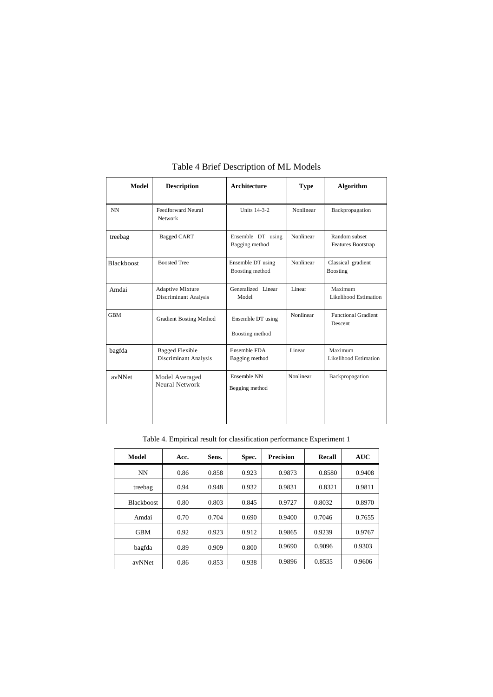| Model             | <b>Description</b>                               | <b>Architecture</b><br><b>Type</b>   |           | <b>Algorithm</b>                 |  |
|-------------------|--------------------------------------------------|--------------------------------------|-----------|----------------------------------|--|
| <b>NN</b>         | Feedforward Neural<br>Network                    | Units 14-3-2                         | Nonlinear |                                  |  |
| treebag           | <b>Bagged CART</b>                               | Ensemble DT using<br>Bagging method  | Nonlinear |                                  |  |
| <b>Blackboost</b> | <b>Boosted Tree</b>                              | Ensemble DT using<br>Boosting method | Nonlinear |                                  |  |
| Amdai             | Adaptive Mixture<br><b>Discriminant Analysis</b> | Generalized Linear<br>Model          | Linear    |                                  |  |
| <b>GBM</b>        | <b>Gradient Bosting Method</b>                   | Ensemble DT using<br>Boosting method | Nonlinear |                                  |  |
| bagfda            | <b>Bagged Flexible</b><br>Discriminant Analysis  | Ensemble FDA<br>Bagging method       | Linear    | Maximum<br>Likelihood Estimation |  |
| avNNet            | Model Averaged<br>Neural Network                 | Ensemble NN<br>Begging method        | Nonlinear | Backpropagation                  |  |

# Table 4 Brief Description of ML Models

### Table 4. Empirical result for classification performance Experiment 1

| Model      | Acc. | Sens. | Spec. | <b>Precision</b> | Recall | <b>AUC</b> |
|------------|------|-------|-------|------------------|--------|------------|
| <b>NN</b>  | 0.86 | 0.858 | 0.923 | 0.9873           | 0.8580 | 0.9408     |
| treebag    | 0.94 | 0.948 | 0.932 | 0.9831           | 0.8321 | 0.9811     |
| Blackboost | 0.80 | 0.803 | 0.845 | 0.9727           | 0.8032 | 0.8970     |
| Amdai      | 0.70 | 0.704 | 0.690 | 0.9400           | 0.7046 | 0.7655     |
| <b>GBM</b> | 0.92 | 0.923 | 0.912 | 0.9865           | 0.9239 | 0.9767     |
| bagfda     | 0.89 | 0.909 | 0.800 | 0.9690           | 0.9096 | 0.9303     |
| avNNet     | 0.86 | 0.853 | 0.938 | 0.9896           | 0.8535 | 0.9606     |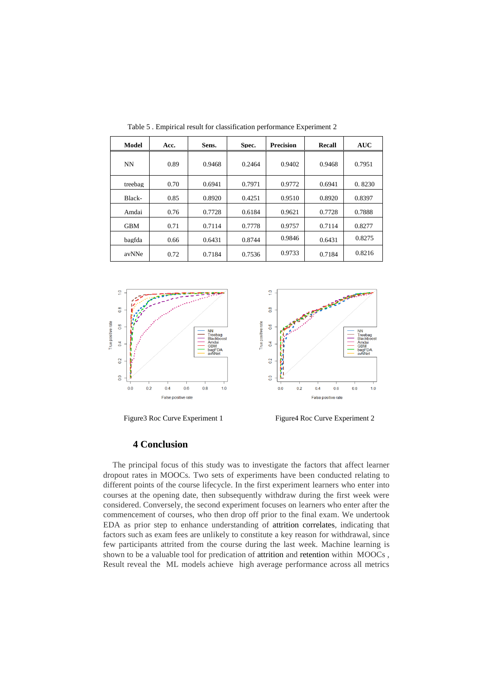| <b>Model</b> | Acc. | Sens.  | Spec.  | <b>Precision</b> | Recall | <b>AUC</b> |
|--------------|------|--------|--------|------------------|--------|------------|
| <b>NN</b>    | 0.89 | 0.9468 | 0.2464 | 0.9402           | 0.9468 | 0.7951     |
| treebag      | 0.70 | 0.6941 | 0.7971 | 0.9772           | 0.6941 | 0.8230     |
| Black-       | 0.85 | 0.8920 | 0.4251 | 0.9510           | 0.8920 | 0.8397     |
| Amdai        | 0.76 | 0.7728 | 0.6184 | 0.9621           | 0.7728 | 0.7888     |
| <b>GBM</b>   | 0.71 | 0.7114 | 0.7778 | 0.9757           | 0.7114 | 0.8277     |
| bagfda       | 0.66 | 0.6431 | 0.8744 | 0.9846           | 0.6431 | 0.8275     |
| avNNe        | 0.72 | 0.7184 | 0.7536 | 0.9733           | 0.7184 | 0.8216     |

Table 5 . Empirical result for classification performance Experiment 2



Figure 3 Roc Curve Experiment 1 **Figure 4 Roc Curve Experiment 2** 

#### **4 Conclusion**

The principal focus of this study was to investigate the factors that affect learner dropout rates in MOOCs. Two sets of experiments have been conducted relating to different points of the course lifecycle. In the first experiment learners who enter into courses at the opening date, then subsequently withdraw during the first week were considered. Conversely, the second experiment focuses on learners who enter after the commencement of courses, who then drop off prior to the final exam. We undertook EDA as prior step to enhance understanding of attrition correlates, indicating that factors such as exam fees are unlikely to constitute a key reason for withdrawal, since few participants attrited from the course during the last week. Machine learning is shown to be a valuable tool for predication of attrition and retention within MOOCs , Result reveal the ML models achieve high average performance across all metrics